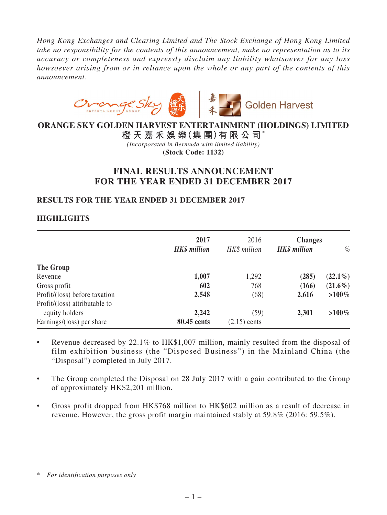*Hong Kong Exchanges and Clearing Limited and The Stock Exchange of Hong Kong Limited take no responsibility for the contents of this announcement, make no representation as to its accuracy or completeness and expressly disclaim any liability whatsoever for any loss howsoever arising from or in reliance upon the whole or any part of the contents of this announcement.*



## **ORANGE SKY GOLDEN HARVEST ENTERTAINMENT (HOLDINGS) LIMITED**

**橙 天 嘉 禾 娛 樂(集 團)有 限 公 司**\* *(Incorporated in Bermuda with limited liability)* **(Stock Code: 1132)**

# **FINAL RESULTS ANNOUNCEMENT FOR THE YEAR ENDED 31 DECEMBER 2017**

## **RESULTS FOR THE YEAR ENDED 31 DECEMBER 2017**

## **HIGHLIGHTS**

|                               | 2017<br><b>HK\$</b> million | 2016<br>HK\$ million | <b>Changes</b><br><b>HK\$</b> million | $\%$       |
|-------------------------------|-----------------------------|----------------------|---------------------------------------|------------|
| The Group                     |                             |                      |                                       |            |
| Revenue                       | 1,007                       | 1,292                | (285)                                 | $(22.1\%)$ |
| Gross profit                  | 602                         | 768                  | (166)                                 | $(21.6\%)$ |
| Profit/(loss) before taxation | 2,548                       | (68)                 | 2,616                                 | $>100\%$   |
| Profit/(loss) attributable to |                             |                      |                                       |            |
| equity holders                | 2,242                       | (59)                 | 2,301                                 | $>100\%$   |
| Earnings/(loss) per share     | 80.45 cents                 | $(2.15)$ cents       |                                       |            |

- Revenue decreased by 22.1% to HK\$1,007 million, mainly resulted from the disposal of film exhibition business (the "Disposed Business") in the Mainland China (the "Disposal") completed in July 2017.
- The Group completed the Disposal on 28 July 2017 with a gain contributed to the Group of approximately HK\$2,201 million.
- Gross profit dropped from HK\$768 million to HK\$602 million as a result of decrease in revenue. However, the gross profit margin maintained stably at 59.8% (2016: 59.5%).

<sup>\*</sup> *For identification purposes only*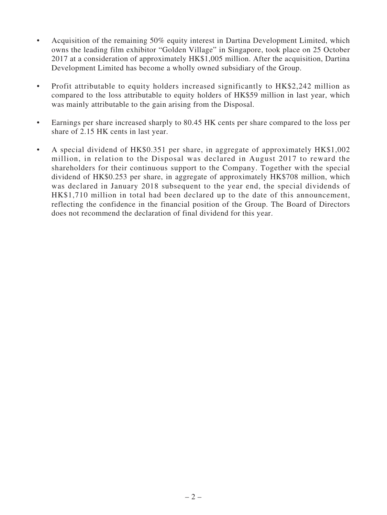- Acquisition of the remaining 50% equity interest in Dartina Development Limited, which owns the leading film exhibitor "Golden Village" in Singapore, took place on 25 October 2017 at a consideration of approximately HK\$1,005 million. After the acquisition, Dartina Development Limited has become a wholly owned subsidiary of the Group.
- Profit attributable to equity holders increased significantly to HK\$2,242 million as compared to the loss attributable to equity holders of HK\$59 million in last year, which was mainly attributable to the gain arising from the Disposal.
- Earnings per share increased sharply to 80.45 HK cents per share compared to the loss per share of 2.15 HK cents in last year.
- • A special dividend of HK\$0.351 per share, in aggregate of approximately HK\$1,002 million, in relation to the Disposal was declared in August 2017 to reward the shareholders for their continuous support to the Company. Together with the special dividend of HK\$0.253 per share, in aggregate of approximately HK\$708 million, which was declared in January 2018 subsequent to the year end, the special dividends of HK\$1,710 million in total had been declared up to the date of this announcement, reflecting the confidence in the financial position of the Group. The Board of Directors does not recommend the declaration of final dividend for this year.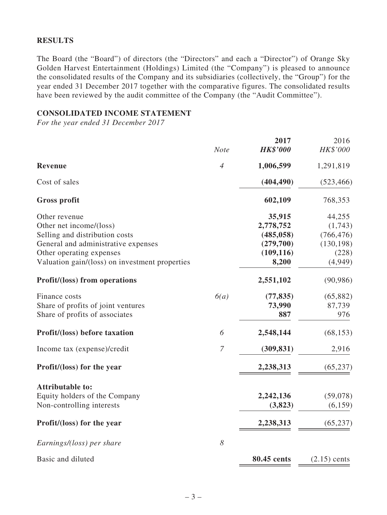## **RESULTS**

The Board (the "Board") of directors (the "Directors" and each a "Director") of Orange Sky Golden Harvest Entertainment (Holdings) Limited (the "Company") is pleased to announce the consolidated results of the Company and its subsidiaries (collectively, the "Group") for the year ended 31 December 2017 together with the comparative figures. The consolidated results have been reviewed by the audit committee of the Company (the "Audit Committee").

### **CONSOLIDATED INCOME STATEMENT**

*For the year ended 31 December 2017*

|                                                | <b>Note</b>      | 2017<br><b>HK\$'000</b> | 2016<br>HK\$'000 |
|------------------------------------------------|------------------|-------------------------|------------------|
| Revenue                                        | $\overline{4}$   | 1,006,599               | 1,291,819        |
|                                                |                  |                         |                  |
| Cost of sales                                  |                  | (404, 490)              | (523, 466)       |
| <b>Gross profit</b>                            |                  | 602,109                 | 768,353          |
| Other revenue                                  |                  | 35,915                  | 44,255           |
| Other net income/(loss)                        |                  | 2,778,752               | (1,743)          |
| Selling and distribution costs                 |                  | (485, 058)              | (766, 476)       |
| General and administrative expenses            |                  | (279,700)               | (130, 198)       |
| Other operating expenses                       |                  | (109, 116)              | (228)            |
| Valuation gain/(loss) on investment properties |                  | 8,200                   | (4,949)          |
| <b>Profit/(loss)</b> from operations           |                  | 2,551,102               | (90, 986)        |
| Finance costs                                  | 6(a)             | (77, 835)               | (65, 882)        |
| Share of profits of joint ventures             |                  | 73,990                  | 87,739           |
| Share of profits of associates                 |                  | 887                     | 976              |
| Profit/(loss) before taxation                  | 6                | 2,548,144               | (68, 153)        |
| Income tax (expense)/credit                    | $\boldsymbol{7}$ | (309, 831)              | 2,916            |
| Profit/(loss) for the year                     |                  | 2,238,313               | (65, 237)        |
| <b>Attributable to:</b>                        |                  |                         |                  |
| Equity holders of the Company                  |                  | 2,242,136               | (59,078)         |
| Non-controlling interests                      |                  | (3,823)                 | (6, 159)         |
| Profit/(loss) for the year                     |                  | 2,238,313               | (65, 237)        |
| Earnings/(loss) per share                      | 8                |                         |                  |
| Basic and diluted                              |                  | 80.45 cents             | $(2.15)$ cents   |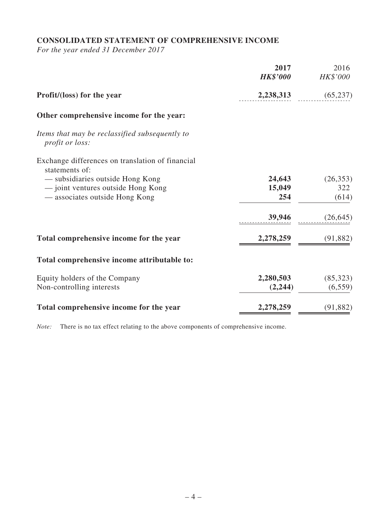# **CONSOLIDATED STATEMENT OF COMPREHENSIVE INCOME**

*For the year ended 31 December 2017*

|                                                                          | 2017<br><b>HK\$'000</b> | 2016<br>HK\$'000 |
|--------------------------------------------------------------------------|-------------------------|------------------|
| Profit/(loss) for the year                                               | 2,238,313               | (65, 237)        |
| Other comprehensive income for the year:                                 |                         |                  |
| Items that may be reclassified subsequently to<br><i>profit or loss:</i> |                         |                  |
| Exchange differences on translation of financial<br>statements of:       |                         |                  |
| — subsidiaries outside Hong Kong                                         | 24,643                  | (26, 353)        |
| - joint ventures outside Hong Kong                                       | 15,049                  | 322              |
| — associates outside Hong Kong                                           | 254                     | (614)            |
|                                                                          | 39,946                  | (26, 645)        |
| Total comprehensive income for the year                                  | 2,278,259               | (91, 882)        |
| Total comprehensive income attributable to:                              |                         |                  |
| Equity holders of the Company                                            | 2,280,503               | (85,323)         |
| Non-controlling interests                                                | (2,244)                 | (6, 559)         |
| Total comprehensive income for the year                                  | 2,278,259               | (91, 882)        |

*Note:* There is no tax effect relating to the above components of comprehensive income.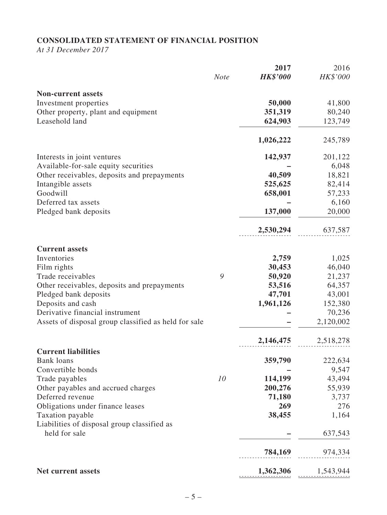# **CONSOLIDATED STATEMENT OF FINANCIAL POSITION**

*At 31 December 2017*

|                                                                 |             | 2017            | 2016      |
|-----------------------------------------------------------------|-------------|-----------------|-----------|
|                                                                 | <b>Note</b> | <b>HK\$'000</b> | HK\$'000  |
| <b>Non-current assets</b>                                       |             |                 |           |
| Investment properties                                           |             | 50,000          | 41,800    |
| Other property, plant and equipment                             |             | 351,319         | 80,240    |
| Leasehold land                                                  |             | 624,903         | 123,749   |
|                                                                 |             | 1,026,222       | 245,789   |
| Interests in joint ventures                                     |             | 142,937         | 201,122   |
| Available-for-sale equity securities                            |             |                 | 6,048     |
| Other receivables, deposits and prepayments                     |             | 40,509          | 18,821    |
| Intangible assets                                               |             | 525,625         | 82,414    |
| Goodwill                                                        |             | 658,001         | 57,233    |
| Deferred tax assets                                             |             |                 | 6,160     |
| Pledged bank deposits                                           |             | 137,000         | 20,000    |
|                                                                 |             | 2,530,294       | 637,587   |
| <b>Current assets</b>                                           |             |                 |           |
| Inventories                                                     |             | 2,759           | 1,025     |
| Film rights                                                     |             | 30,453          | 46,040    |
| Trade receivables                                               | 9           | 50,920          | 21,237    |
| Other receivables, deposits and prepayments                     |             | 53,516          | 64,357    |
| Pledged bank deposits                                           |             | 47,701          | 43,001    |
| Deposits and cash                                               |             | 1,961,126       | 152,380   |
| Derivative financial instrument                                 |             |                 | 70,236    |
| Assets of disposal group classified as held for sale            |             |                 | 2,120,002 |
|                                                                 |             | 2,146,475       | 2,518,278 |
| <b>Current liabilities</b>                                      |             |                 |           |
| <b>Bank loans</b>                                               |             | 359,790         | 222,634   |
| Convertible bonds                                               |             |                 | 9,547     |
| Trade payables                                                  | 10          | 114,199         | 43,494    |
| Other payables and accrued charges                              |             | 200,276         | 55,939    |
| Deferred revenue                                                |             | 71,180          | 3,737     |
| Obligations under finance leases                                |             | 269<br>38,455   | 276       |
| Taxation payable<br>Liabilities of disposal group classified as |             |                 | 1,164     |
| held for sale                                                   |             |                 | 637,543   |
|                                                                 |             | 784,169         | 974,334   |
| Net current assets                                              |             | 1,362,306       | 1,543,944 |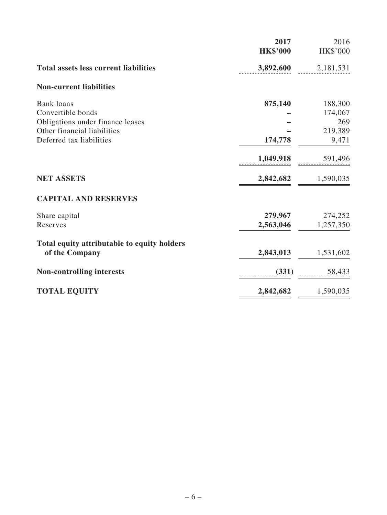|                                              | 2017<br><b>HK\$'000</b> | 2016<br>HK\$'000 |
|----------------------------------------------|-------------------------|------------------|
| <b>Total assets less current liabilities</b> | 3,892,600               | 2,181,531        |
| <b>Non-current liabilities</b>               |                         |                  |
| <b>Bank</b> loans                            | 875,140                 | 188,300          |
| Convertible bonds                            |                         | 174,067          |
| Obligations under finance leases             |                         | 269              |
| Other financial liabilities                  |                         | 219,389          |
| Deferred tax liabilities                     | 174,778                 | 9,471            |
|                                              | 1,049,918               | 591,496          |
| <b>NET ASSETS</b>                            | 2,842,682               | 1,590,035        |
| <b>CAPITAL AND RESERVES</b>                  |                         |                  |
| Share capital                                | 279,967                 | 274,252          |
| Reserves                                     | 2,563,046               | 1,257,350        |
| Total equity attributable to equity holders  |                         |                  |
| of the Company                               | 2,843,013               | 1,531,602        |
| <b>Non-controlling interests</b>             | (331)                   | 58,433           |
| <b>TOTAL EQUITY</b>                          | 2,842,682               | 1,590,035        |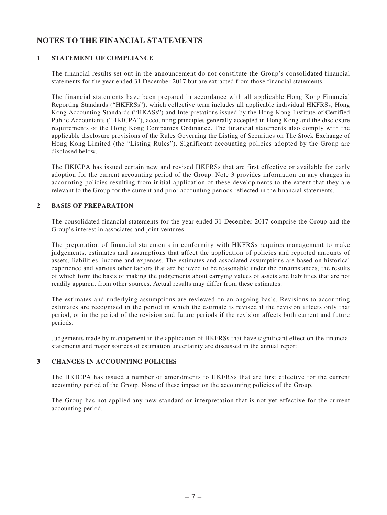## **NOTES TO THE FINANCIAL STATEMENTS**

#### **1 STATEMENT OF COMPLIANCE**

The financial results set out in the announcement do not constitute the Group's consolidated financial statements for the year ended 31 December 2017 but are extracted from those financial statements.

The financial statements have been prepared in accordance with all applicable Hong Kong Financial Reporting Standards ("HKFRSs"), which collective term includes all applicable individual HKFRSs, Hong Kong Accounting Standards ("HKASs") and Interpretations issued by the Hong Kong Institute of Certified Public Accountants ("HKICPA"), accounting principles generally accepted in Hong Kong and the disclosure requirements of the Hong Kong Companies Ordinance. The financial statements also comply with the applicable disclosure provisions of the Rules Governing the Listing of Securities on The Stock Exchange of Hong Kong Limited (the "Listing Rules"). Significant accounting policies adopted by the Group are disclosed below.

The HKICPA has issued certain new and revised HKFRSs that are first effective or available for early adoption for the current accounting period of the Group. Note 3 provides information on any changes in accounting policies resulting from initial application of these developments to the extent that they are relevant to the Group for the current and prior accounting periods reflected in the financial statements.

#### **2 BASIS OF PREPARATION**

The consolidated financial statements for the year ended 31 December 2017 comprise the Group and the Group's interest in associates and joint ventures.

The preparation of financial statements in conformity with HKFRSs requires management to make judgements, estimates and assumptions that affect the application of policies and reported amounts of assets, liabilities, income and expenses. The estimates and associated assumptions are based on historical experience and various other factors that are believed to be reasonable under the circumstances, the results of which form the basis of making the judgements about carrying values of assets and liabilities that are not readily apparent from other sources. Actual results may differ from these estimates.

The estimates and underlying assumptions are reviewed on an ongoing basis. Revisions to accounting estimates are recognised in the period in which the estimate is revised if the revision affects only that period, or in the period of the revision and future periods if the revision affects both current and future periods.

Judgements made by management in the application of HKFRSs that have significant effect on the financial statements and major sources of estimation uncertainty are discussed in the annual report.

### **3 CHANGES IN ACCOUNTING POLICIES**

The HKICPA has issued a number of amendments to HKFRSs that are first effective for the current accounting period of the Group. None of these impact on the accounting policies of the Group.

The Group has not applied any new standard or interpretation that is not yet effective for the current accounting period.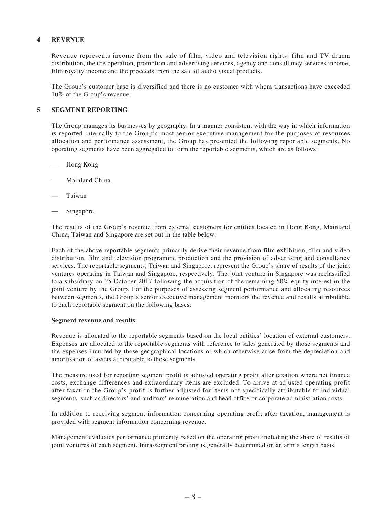#### **4 REVENUE**

Revenue represents income from the sale of film, video and television rights, film and TV drama distribution, theatre operation, promotion and advertising services, agency and consultancy services income, film royalty income and the proceeds from the sale of audio visual products.

The Group's customer base is diversified and there is no customer with whom transactions have exceeded 10% of the Group's revenue.

#### **5 SEGMENT REPORTING**

The Group manages its businesses by geography. In a manner consistent with the way in which information is reported internally to the Group's most senior executive management for the purposes of resources allocation and performance assessment, the Group has presented the following reportable segments. No operating segments have been aggregated to form the reportable segments, which are as follows:

- Hong Kong
- Mainland China
- **Taiwan**
- Singapore

The results of the Group's revenue from external customers for entities located in Hong Kong, Mainland China, Taiwan and Singapore are set out in the table below.

Each of the above reportable segments primarily derive their revenue from film exhibition, film and video distribution, film and television programme production and the provision of advertising and consultancy services. The reportable segments, Taiwan and Singapore, represent the Group's share of results of the joint ventures operating in Taiwan and Singapore, respectively. The joint venture in Singapore was reclassified to a subsidiary on 25 October 2017 following the acquisition of the remaining 50% equity interest in the joint venture by the Group. For the purposes of assessing segment performance and allocating resources between segments, the Group's senior executive management monitors the revenue and results attributable to each reportable segment on the following bases:

#### **Segment revenue and results**

Revenue is allocated to the reportable segments based on the local entities' location of external customers. Expenses are allocated to the reportable segments with reference to sales generated by those segments and the expenses incurred by those geographical locations or which otherwise arise from the depreciation and amortisation of assets attributable to those segments.

The measure used for reporting segment profit is adjusted operating profit after taxation where net finance costs, exchange differences and extraordinary items are excluded. To arrive at adjusted operating profit after taxation the Group's profit is further adjusted for items not specifically attributable to individual segments, such as directors' and auditors' remuneration and head office or corporate administration costs.

In addition to receiving segment information concerning operating profit after taxation, management is provided with segment information concerning revenue.

Management evaluates performance primarily based on the operating profit including the share of results of joint ventures of each segment. Intra-segment pricing is generally determined on an arm's length basis.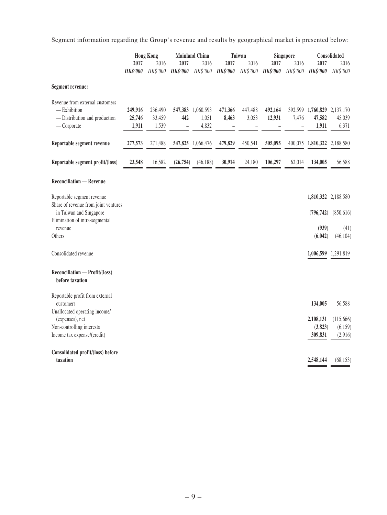Segment information regarding the Group's revenue and results by geographical market is presented below:

|                                                                                                   | 2017<br><b>HK\$'000</b>    | <b>Hong Kong</b><br>2016<br>HK\$'000 | 2017<br><b>HK\$'000</b> | <b>Mainland China</b><br>2016<br>HK\$'000 | 2017<br><b>HK\$'000</b> | Taiwan<br>2016<br>HK\$'000 | 2017<br><b>HK\$'000</b> | Singapore<br>2016<br>HK\$'000 | 2017<br><b>HK\$'000</b>                        | Consolidated<br>2016<br>HK\$'000 |
|---------------------------------------------------------------------------------------------------|----------------------------|--------------------------------------|-------------------------|-------------------------------------------|-------------------------|----------------------------|-------------------------|-------------------------------|------------------------------------------------|----------------------------------|
| Segment revenue:                                                                                  |                            |                                      |                         |                                           |                         |                            |                         |                               |                                                |                                  |
| Revenue from external customers<br>- Exhibition<br>- Distribution and production<br>$-$ Corporate | 249,916<br>25,746<br>1,911 | 236,490<br>33,459<br>1,539           | 442<br>-                | 547,383 1,060,593<br>1,051<br>4,832       | 471,366<br>8,463        | 447,488<br>3,053           | 492,164<br>12,931       | 7,476<br>$\overline{a}$       | 392,599 1,760,829 2,137,170<br>47,582<br>1,911 | 45,039<br>6,371                  |
| Reportable segment revenue                                                                        | 277,573                    | 271,488                              | 547,825                 | 1,066,476                                 | 479,829                 | 450,541                    | 505,095                 |                               | 400,075 1,810,322 2,188,580                    |                                  |
| Reportable segment profit/(loss)                                                                  | 23,548                     | 16,582                               | (26, 754)               | (46, 188)                                 | 30,914                  | 24,180                     | 106,297                 | 62,014                        | 134,005                                        | 56,588                           |
| <b>Reconciliation - Revenue</b>                                                                   |                            |                                      |                         |                                           |                         |                            |                         |                               |                                                |                                  |
| Reportable segment revenue<br>Share of revenue from joint ventures                                |                            |                                      |                         |                                           |                         |                            |                         |                               | 1,810,322 2,188,580                            |                                  |
| in Taiwan and Singapore<br>Elimination of intra-segmental                                         |                            |                                      |                         |                                           |                         |                            |                         |                               | (796, 742)                                     | (850,616)                        |
| revenue<br>Others                                                                                 |                            |                                      |                         |                                           |                         |                            |                         |                               | (939)<br>(6,042)                               | (41)<br>(46, 104)                |
| Consolidated revenue                                                                              |                            |                                      |                         |                                           |                         |                            |                         |                               | 1,006,599 1,291,819                            |                                  |
| Reconciliation - Profit/(loss)<br>before taxation                                                 |                            |                                      |                         |                                           |                         |                            |                         |                               |                                                |                                  |
| Reportable profit from external<br>customers                                                      |                            |                                      |                         |                                           |                         |                            |                         |                               | 134,005                                        | 56,588                           |
| Unallocated operating income/<br>(expenses), net                                                  |                            |                                      |                         |                                           |                         |                            |                         |                               | 2,108,131                                      | (115, 666)                       |
| Non-controlling interests<br>Income tax expense/(credit)                                          |                            |                                      |                         |                                           |                         |                            |                         |                               | (3,823)<br>309,831                             | (6,159)<br>(2,916)               |
| Consolidated profit/(loss) before<br>taxation                                                     |                            |                                      |                         |                                           |                         |                            |                         |                               | 2,548,144                                      | (68, 153)                        |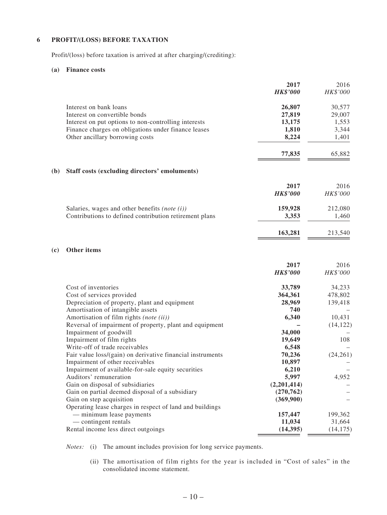#### **6 PROFIT/(LOSS) BEFORE TAXATION**

Profit/(loss) before taxation is arrived at after charging/(crediting):

#### **(a) Finance costs**

|              |                                                            | 2017            | 2016      |
|--------------|------------------------------------------------------------|-----------------|-----------|
|              |                                                            | <b>HK\$'000</b> | HK\$'000  |
|              | Interest on bank loans                                     | 26,807          | 30,577    |
|              | Interest on convertible bonds                              | 27,819          | 29,007    |
|              | Interest on put options to non-controlling interests       | 13,175          | 1,553     |
|              | Finance charges on obligations under finance leases        | 1,810           | 3,344     |
|              | Other ancillary borrowing costs                            | 8,224           | 1,401     |
|              |                                                            | 77,835          | 65,882    |
| ( <b>b</b> ) | Staff costs (excluding directors' emoluments)              |                 |           |
|              |                                                            | 2017            | 2016      |
|              |                                                            | <b>HK\$'000</b> | HK\$'000  |
|              | Salaries, wages and other benefits (note $(i)$ )           | 159,928         | 212,080   |
|              | Contributions to defined contribution retirement plans     | 3,353           | 1,460     |
|              |                                                            | 163,281         | 213,540   |
| (c)          | Other items                                                |                 |           |
|              |                                                            | 2017            | 2016      |
|              |                                                            | <b>HK\$'000</b> | HK\$'000  |
|              | Cost of inventories                                        | 33,789          | 34,233    |
|              | Cost of services provided                                  | 364,361         | 478,802   |
|              | Depreciation of property, plant and equipment              | 28,969          | 139,418   |
|              | Amortisation of intangible assets                          | 740             |           |
|              | Amortisation of film rights (note (ii))                    | 6,340           | 10,431    |
|              | Reversal of impairment of property, plant and equipment    |                 | (14, 122) |
|              | Impairment of goodwill                                     | 34,000          |           |
|              | Impairment of film rights                                  | 19,649          | 108       |
|              | Write-off of trade receivables                             | 6,548           |           |
|              | Fair value loss/(gain) on derivative financial instruments | 70,236          | (24,261)  |
|              | Impairment of other receivables                            | 10,897          |           |
|              | Impairment of available-for-sale equity securities         | 6,210           |           |
|              | Auditors' remuneration                                     | 5,997           | 4,952     |
|              | Gain on disposal of subsidiaries                           | (2,201,414)     |           |
|              | Gain on partial deemed disposal of a subsidiary            | (270, 762)      |           |
|              | Gain on step acquisition                                   | (369,900)       |           |
|              | Operating lease charges in respect of land and buildings   |                 |           |
|              | - minimum lease payments                                   | 157,447         | 199,362   |
|              | — contingent rentals                                       | 11,034          | 31,664    |
|              | Rental income less direct outgoings                        | (14, 395)       | (14, 175) |

*Notes:* (i) The amount includes provision for long service payments.

 (ii) The amortisation of film rights for the year is included in "Cost of sales" in the consolidated income statement.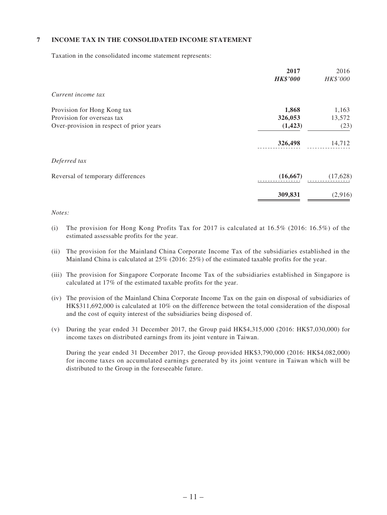#### **7 INCOME TAX IN THE CONSOLIDATED INCOME STATEMENT**

Taxation in the consolidated income statement represents:

|                                          | 2017<br><b>HK\$'000</b> | 2016<br>HK\$'000 |
|------------------------------------------|-------------------------|------------------|
| Current income tax                       |                         |                  |
| Provision for Hong Kong tax              | 1,868                   | 1,163            |
| Provision for overseas tax               | 326,053                 | 13,572           |
| Over-provision in respect of prior years | (1, 423)                | (23)             |
|                                          | 326,498                 | 14,712           |
| Deferred tax                             |                         |                  |
| Reversal of temporary differences        | (16, 667)               | (17,628)         |
|                                          | 309,831                 | (2,916)          |

#### *Notes:*

- (i) The provision for Hong Kong Profits Tax for 2017 is calculated at  $16.5\%$  (2016:  $16.5\%$ ) of the estimated assessable profits for the year.
- (ii) The provision for the Mainland China Corporate Income Tax of the subsidiaries established in the Mainland China is calculated at 25% (2016: 25%) of the estimated taxable profits for the year.
- (iii) The provision for Singapore Corporate Income Tax of the subsidiaries established in Singapore is calculated at 17% of the estimated taxable profits for the year.
- (iv) The provision of the Mainland China Corporate Income Tax on the gain on disposal of subsidiaries of HK\$311,692,000 is calculated at 10% on the difference between the total consideration of the disposal and the cost of equity interest of the subsidiaries being disposed of.
- (v) During the year ended 31 December 2017, the Group paid HK\$4,315,000 (2016: HK\$7,030,000) for income taxes on distributed earnings from its joint venture in Taiwan.

During the year ended 31 December 2017, the Group provided HK\$3,790,000 (2016: HK\$4,082,000) for income taxes on accumulated earnings generated by its joint venture in Taiwan which will be distributed to the Group in the foreseeable future.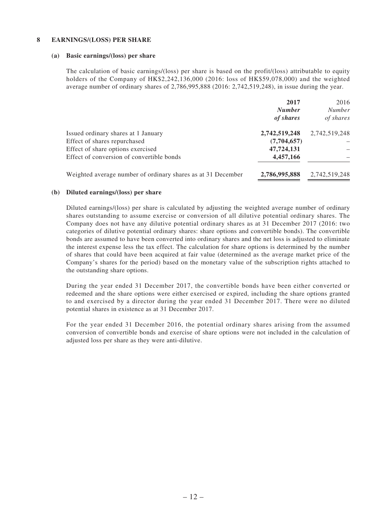#### **8 EARNINGS/(LOSS) PER SHARE**

#### **(a) Basic earnings/(loss) per share**

The calculation of basic earnings/(loss) per share is based on the profit/(loss) attributable to equity holders of the Company of HK\$2,242,136,000 (2016: loss of HK\$59,078,000) and the weighted average number of ordinary shares of 2,786,995,888 (2016: 2,742,519,248), in issue during the year.

|                                                              | 2017          | 2016          |
|--------------------------------------------------------------|---------------|---------------|
|                                                              | <b>Number</b> | <b>Number</b> |
|                                                              | of shares     | of shares     |
| Issued ordinary shares at 1 January                          | 2,742,519,248 | 2,742,519,248 |
| Effect of shares repurchased                                 | (7,704,657)   |               |
| Effect of share options exercised                            | 47,724,131    |               |
| Effect of conversion of convertible bonds                    | 4,457,166     |               |
| Weighted average number of ordinary shares as at 31 December | 2,786,995,888 | 2,742,519,248 |

#### **(b) Diluted earnings/(loss) per share**

Diluted earnings/(loss) per share is calculated by adjusting the weighted average number of ordinary shares outstanding to assume exercise or conversion of all dilutive potential ordinary shares. The Company does not have any dilutive potential ordinary shares as at 31 December 2017 (2016: two categories of dilutive potential ordinary shares: share options and convertible bonds). The convertible bonds are assumed to have been converted into ordinary shares and the net loss is adjusted to eliminate the interest expense less the tax effect. The calculation for share options is determined by the number of shares that could have been acquired at fair value (determined as the average market price of the Company's shares for the period) based on the monetary value of the subscription rights attached to the outstanding share options.

During the year ended 31 December 2017, the convertible bonds have been either converted or redeemed and the share options were either exercised or expired, including the share options granted to and exercised by a director during the year ended 31 December 2017. There were no diluted potential shares in existence as at 31 December 2017.

For the year ended 31 December 2016, the potential ordinary shares arising from the assumed conversion of convertible bonds and exercise of share options were not included in the calculation of adjusted loss per share as they were anti-dilutive.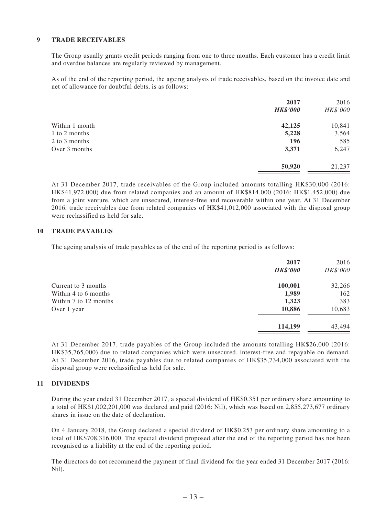#### **9 TRADE RECEIVABLES**

The Group usually grants credit periods ranging from one to three months. Each customer has a credit limit and overdue balances are regularly reviewed by management.

As of the end of the reporting period, the ageing analysis of trade receivables, based on the invoice date and net of allowance for doubtful debts, is as follows:

| 2017<br><b>HK\$'000</b> | 2016<br>HK\$'000 |
|-------------------------|------------------|
| 42,125                  | 10,841           |
| 5,228                   | 3,564            |
| 196                     | 585              |
| 3,371                   | 6,247            |
| 50,920                  | 21,237           |
|                         |                  |

At 31 December 2017, trade receivables of the Group included amounts totalling HK\$30,000 (2016: HK\$41,972,000) due from related companies and an amount of HK\$814,000 (2016: HK\$1,452,000) due from a joint venture, which are unsecured, interest-free and recoverable within one year. At 31 December 2016, trade receivables due from related companies of HK\$41,012,000 associated with the disposal group were reclassified as held for sale.

#### **10 TRADE PAYABLES**

The ageing analysis of trade payables as of the end of the reporting period is as follows:

| 2017    | 2016            |
|---------|-----------------|
|         | HK\$'000        |
| 100,001 | 32,266          |
| 1,989   | 162             |
| 1,323   | 383             |
| 10,886  | 10,683          |
| 114,199 | 43,494          |
|         | <b>HK\$'000</b> |

At 31 December 2017, trade payables of the Group included the amounts totalling HK\$26,000 (2016: HK\$35,765,000) due to related companies which were unsecured, interest-free and repayable on demand. At 31 December 2016, trade payables due to related companies of HK\$35,734,000 associated with the disposal group were reclassified as held for sale.

#### **11 DIVIDENDS**

During the year ended 31 December 2017, a special dividend of HK\$0.351 per ordinary share amounting to a total of HK\$1,002,201,000 was declared and paid (2016: Nil), which was based on 2,855,273,677 ordinary shares in issue on the date of declaration.

On 4 January 2018, the Group declared a special dividend of HK\$0.253 per ordinary share amounting to a total of HK\$708,316,000. The special dividend proposed after the end of the reporting period has not been recognised as a liability at the end of the reporting period.

The directors do not recommend the payment of final dividend for the year ended 31 December 2017 (2016: Nil).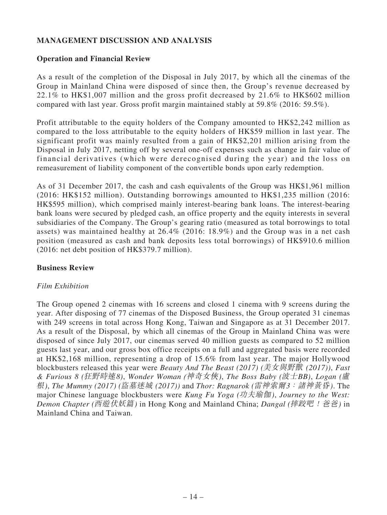# **MANAGEMENT DISCUSSION AND ANALYSIS**

## **Operation and Financial Review**

As a result of the completion of the Disposal in July 2017, by which all the cinemas of the Group in Mainland China were disposed of since then, the Group's revenue decreased by 22.1% to HK\$1,007 million and the gross profit decreased by 21.6% to HK\$602 million compared with last year. Gross profit margin maintained stably at 59.8% (2016: 59.5%).

Profit attributable to the equity holders of the Company amounted to HK\$2,242 million as compared to the loss attributable to the equity holders of HK\$59 million in last year. The significant profit was mainly resulted from a gain of HK\$2,201 million arising from the Disposal in July 2017, netting off by several one-off expenses such as change in fair value of financial derivatives (which were derecognised during the year) and the loss on remeasurement of liability component of the convertible bonds upon early redemption.

As of 31 December 2017, the cash and cash equivalents of the Group was HK\$1,961 million (2016: HK\$152 million). Outstanding borrowings amounted to HK\$1,235 million (2016: HK\$595 million), which comprised mainly interest-bearing bank loans. The interest-bearing bank loans were secured by pledged cash, an office property and the equity interests in several subsidiaries of the Company. The Group's gearing ratio (measured as total borrowings to total assets) was maintained healthy at 26.4% (2016: 18.9%) and the Group was in a net cash position (measured as cash and bank deposits less total borrowings) of HK\$910.6 million (2016: net debt position of HK\$379.7 million).

## **Business Review**

### *Film Exhibition*

The Group opened 2 cinemas with 16 screens and closed 1 cinema with 9 screens during the year. After disposing of 77 cinemas of the Disposed Business, the Group operated 31 cinemas with 249 screens in total across Hong Kong, Taiwan and Singapore as at 31 December 2017. As a result of the Disposal, by which all cinemas of the Group in Mainland China was were disposed of since July 2017, our cinemas served 40 million guests as compared to 52 million guests last year, and our gross box office receipts on a full and aggregated basis were recorded at HK\$2,168 million, representing a drop of 15.6% from last year. The major Hollywood blockbusters released this year were *Beauty And The Beast (2017) (*美女與野獸 *(2017))*, *Fast & Furious 8 (*狂野時速*8)*, *Wonder Woman (*神奇女俠*)*, *The Boss Baby (*波士*BB)*, *Logan (*盧 根*)*, *The Mummy (2017) (*盜墓迷城 *(2017))* and *Thor: Ragnarok (*雷神索爾*3*:諸神黃昏*)*. The major Chinese language blockbusters were *Kung Fu Yoga (*功夫瑜伽*)*, *Journey to the West: Demon Chapter (*西遊伏妖篇*)* in Hong Kong and Mainland China; *Dangal (*摔跤吧!爸爸*)* in Mainland China and Taiwan.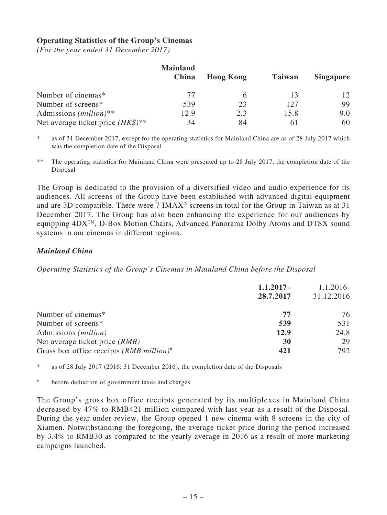## **Operating Statistics of the Group's Cinemas**

*(For the year ended 31 December 2017)*

|                                               | <b>Mainland</b> |                  |               |                  |
|-----------------------------------------------|-----------------|------------------|---------------|------------------|
|                                               | China           | <b>Hong Kong</b> | <b>Taiwan</b> | <b>Singapore</b> |
| Number of cinemas*                            | 77              |                  |               | 12               |
| Number of screens*                            | 539             | 23               | 127           | 99               |
| Admissions $(million)**$                      | 12.9            | 2.3              | 15.8          | 9.0              |
| Net average ticket price $(HK\$ <sup>**</sup> | 34              | 84               |               | 60               |

\* as of 31 December 2017, except for the operating statistics for Mainland China are as of 28 July 2017 which was the completion date of the Disposal

\*\* The operating statistics for Mainland China were presented up to 28 July 2017, the completion date of the Disposal

The Group is dedicated to the provision of a diversified video and audio experience for its audiences. All screens of the Group have been established with advanced digital equipment and are 3D compatible. There were 7 IMAX® screens in total for the Group in Taiwan as at 31 December 2017. The Group has also been enhancing the experience for our audiences by equipping 4DXTM, D-Box Motion Chairs, Advanced Panorama Dolby Atoms and DTSX sound systems in our cinemas in different regions.

## *Mainland China*

*Operating Statistics of the Group's Cinemas in Mainland China before the Disposal*

| $1.1.2017-$ |            |
|-------------|------------|
| 28.7.2017   | 31.12.2016 |
| 77          | 76         |
| 539         | 531        |
| 12.9        | 24.8       |
| 30          | 29         |
| 421         | 792        |
|             |            |

\* as of 28 July 2017 (2016: 31 December 2016), the completion date of the Disposals

# before deduction of government taxes and charges

The Group's gross box office receipts generated by its multiplexes in Mainland China decreased by 47% to RMB421 million compared with last year as a result of the Disposal. During the year under review, the Group opened 1 new cinema with 8 screens in the city of Xiamen. Notwithstanding the foregoing, the average ticket price during the period increased by 3.4% to RMB30 as compared to the yearly average in 2016 as a result of more marketing campaigns launched.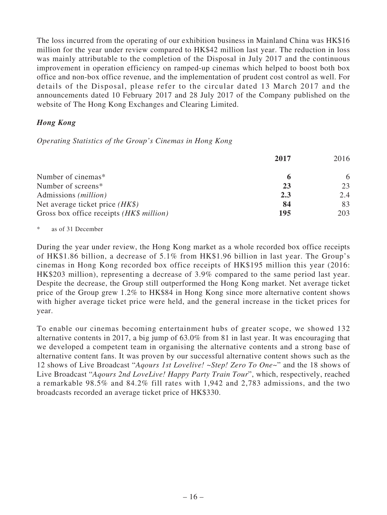The loss incurred from the operating of our exhibition business in Mainland China was HK\$16 million for the year under review compared to HK\$42 million last year. The reduction in loss was mainly attributable to the completion of the Disposal in July 2017 and the continuous improvement in operation efficiency on ramped-up cinemas which helped to boost both box office and non-box office revenue, and the implementation of prudent cost control as well. For details of the Disposal, please refer to the circular dated 13 March 2017 and the announcements dated 10 February 2017 and 28 July 2017 of the Company published on the website of The Hong Kong Exchanges and Clearing Limited.

# *Hong Kong*

*Operating Statistics of the Group's Cinemas in Hong Kong*

|                                          | 2017 | 2016 |
|------------------------------------------|------|------|
| Number of cinemas*                       |      | 6    |
| Number of screens*                       | 23   | 23   |
| Admissions ( <i>million</i> )            | 2.3  | 2.4  |
| Net average ticket price $(HK\$ )        | 84   | 83   |
| Gross box office receipts (HK\$ million) | 195  | 203  |

as of 31 December

During the year under review, the Hong Kong market as a whole recorded box office receipts of HK\$1.86 billion, a decrease of 5.1% from HK\$1.96 billion in last year. The Group's cinemas in Hong Kong recorded box office receipts of HK\$195 million this year (2016: HK\$203 million), representing a decrease of 3.9% compared to the same period last year. Despite the decrease, the Group still outperformed the Hong Kong market. Net average ticket price of the Group grew 1.2% to HK\$84 in Hong Kong since more alternative content shows with higher average ticket price were held, and the general increase in the ticket prices for year.

To enable our cinemas becoming entertainment hubs of greater scope, we showed 132 alternative contents in 2017, a big jump of 63.0% from 81 in last year. It was encouraging that we developed a competent team in organising the alternative contents and a strong base of alternative content fans. It was proven by our successful alternative content shows such as the 12 shows of Live Broadcast "*Aqours 1st Lovelive! ~Step! Zero To One~*" and the 18 shows of Live Broadcast "*Aqours 2nd LoveLive! Happy Party Train Tour*", which, respectively, reached a remarkable 98.5% and 84.2% fill rates with 1,942 and 2,783 admissions, and the two broadcasts recorded an average ticket price of HK\$330.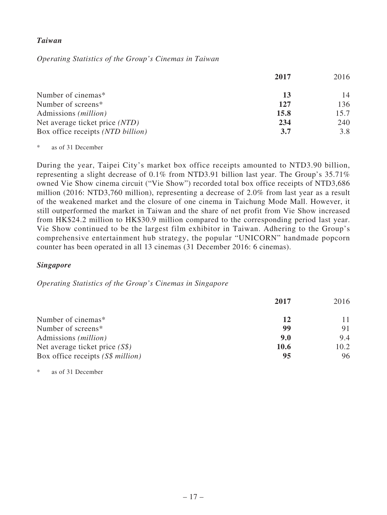### *Taiwan*

*Operating Statistics of the Group's Cinemas in Taiwan*

|                                   | 2017 | 2016 |
|-----------------------------------|------|------|
| Number of cinemas*                | 13   | 14   |
| Number of screens*                | 127  | 136  |
| Admissions ( <i>million</i> )     | 15.8 | 15.7 |
| Net average ticket price (NTD)    | 234  | 240  |
| Box office receipts (NTD billion) | 3.7  | 3.8  |

\* as of 31 December

During the year, Taipei City's market box office receipts amounted to NTD3.90 billion, representing a slight decrease of 0.1% from NTD3.91 billion last year. The Group's 35.71% owned Vie Show cinema circuit ("Vie Show") recorded total box office receipts of NTD3,686 million (2016: NTD3,760 million), representing a decrease of 2.0% from last year as a result of the weakened market and the closure of one cinema in Taichung Mode Mall. However, it still outperformed the market in Taiwan and the share of net profit from Vie Show increased from HK\$24.2 million to HK\$30.9 million compared to the corresponding period last year. Vie Show continued to be the largest film exhibitor in Taiwan. Adhering to the Group's comprehensive entertainment hub strategy, the popular "UNICORN" handmade popcorn counter has been operated in all 13 cinemas (31 December 2016: 6 cinemas).

### *Singapore*

*Operating Statistics of the Group's Cinemas in Singapore*

|                                   | 2017        | 2016 |
|-----------------------------------|-------------|------|
| Number of cinemas*                | 12          |      |
| Number of screens*                | 99          | 91   |
| Admissions ( <i>million</i> )     | 9.0         | 9.4  |
| Net average ticket price $(S\$ )  | <b>10.6</b> | 10.2 |
| Box office receipts (S\$ million) | 95          | 96   |

\* as of 31 December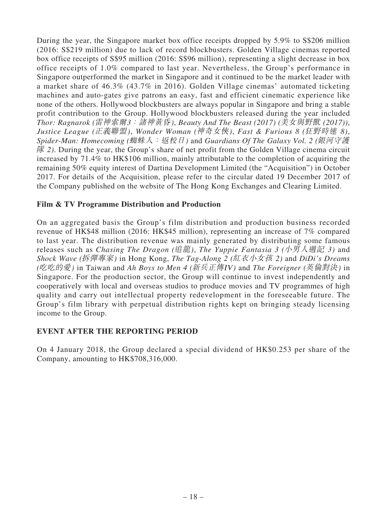During the year, the Singapore market box office receipts dropped by 5.9% to S\$206 million (2016: S\$219 million) due to lack of record blockbusters. Golden Village cinemas reported box office receipts of S\$95 million (2016: S\$96 million), representing a slight decrease in box office receipts of 1.0% compared to last year. Nevertheless, the Group's performance in Singapore outperformed the market in Singapore and it continued to be the market leader with a market share of 46.3% (43.7% in 2016). Golden Village cinemas' automated ticketing machines and auto-gates give patrons an easy, fast and efficient cinematic experience like none of the others. Hollywood blockbusters are always popular in Singapore and bring a stable profit contribution to the Group. Hollywood blockbusters released during the year included *Thor: Ragnarok (*雷神索爾*3*:諸神黃昏*)*, *Beauty And The Beast (2017) (*美女與野獸 *(2017))*, *Justice League (*正義聯盟*)*, *Wonder Woman (*神奇女俠*)*, *Fast & Furious 8 (*狂野時速 *8)*, *Spider-Man: Homecoming (*蜘蛛人:返校日*)* and *Guardians Of The Galaxy Vol. 2 (*銀河守護 隊 *2)*. During the year, the Group's share of net profit from the Golden Village cinema circuit increased by 71.4% to HK\$106 million, mainly attributable to the completion of acquiring the remaining 50% equity interest of Dartina Development Limited (the "Acquisition") in October 2017. For details of the Acquisition, please refer to the circular dated 19 December 2017 of the Company published on the website of The Hong Kong Exchanges and Clearing Limited.

## **Film & TV Programme Distribution and Production**

On an aggregated basis the Group's film distribution and production business recorded revenue of HK\$48 million (2016: HK\$45 million), representing an increase of 7% compared to last year. The distribution revenue was mainly generated by distributing some famous releases such as *Chasing The Dragon (*追龍*)*, *The Yuppie Fantasia 3 (*小男人週記 *3)* and *Shock Wave (*拆彈專家*)* in Hong Kong, *The Tag-Along 2 (*紅衣小女孩 *2)* and *DiDi's Dreams (*吃吃的愛*)* in Taiwan and *Ah Boys to Men 4 (*新兵正傳I<sup>V</sup>*)* and *The Foreigner (*英倫對決*)* in Singapore. For the production sector, the Group will continue to invest independently and cooperatively with local and overseas studios to produce movies and TV programmes of high quality and carry out intellectual property redevelopment in the foreseeable future. The Group's film library with perpetual distribution rights kept on bringing steady licensing income to the Group.

## **EVENT AFTER THE REPORTING PERIOD**

On 4 January 2018, the Group declared a special dividend of HK\$0.253 per share of the Company, amounting to HK\$708,316,000.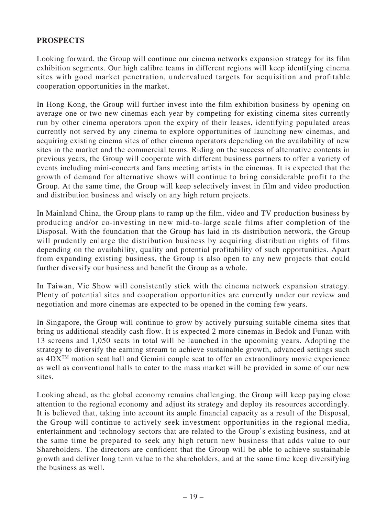## **PROSPECTS**

Looking forward, the Group will continue our cinema networks expansion strategy for its film exhibition segments. Our high calibre teams in different regions will keep identifying cinema sites with good market penetration, undervalued targets for acquisition and profitable cooperation opportunities in the market.

In Hong Kong, the Group will further invest into the film exhibition business by opening on average one or two new cinemas each year by competing for existing cinema sites currently run by other cinema operators upon the expiry of their leases, identifying populated areas currently not served by any cinema to explore opportunities of launching new cinemas, and acquiring existing cinema sites of other cinema operators depending on the availability of new sites in the market and the commercial terms. Riding on the success of alternative contents in previous years, the Group will cooperate with different business partners to offer a variety of events including mini-concerts and fans meeting artists in the cinemas. It is expected that the growth of demand for alternative shows will continue to bring considerable profit to the Group. At the same time, the Group will keep selectively invest in film and video production and distribution business and wisely on any high return projects.

In Mainland China, the Group plans to ramp up the film, video and TV production business by producing and/or co-investing in new mid-to-large scale films after completion of the Disposal. With the foundation that the Group has laid in its distribution network, the Group will prudently enlarge the distribution business by acquiring distribution rights of films depending on the availability, quality and potential profitability of such opportunities. Apart from expanding existing business, the Group is also open to any new projects that could further diversify our business and benefit the Group as a whole.

In Taiwan, Vie Show will consistently stick with the cinema network expansion strategy. Plenty of potential sites and cooperation opportunities are currently under our review and negotiation and more cinemas are expected to be opened in the coming few years.

In Singapore, the Group will continue to grow by actively pursuing suitable cinema sites that bring us additional steadily cash flow. It is expected 2 more cinemas in Bedok and Funan with 13 screens and 1,050 seats in total will be launched in the upcoming years. Adopting the strategy to diversify the earning stream to achieve sustainable growth, advanced settings such as  $4DX^{TM}$  motion seat hall and Gemini couple seat to offer an extraordinary movie experience as well as conventional halls to cater to the mass market will be provided in some of our new sites.

Looking ahead, as the global economy remains challenging, the Group will keep paying close attention to the regional economy and adjust its strategy and deploy its resources accordingly. It is believed that, taking into account its ample financial capacity as a result of the Disposal, the Group will continue to actively seek investment opportunities in the regional media, entertainment and technology sectors that are related to the Group's existing business, and at the same time be prepared to seek any high return new business that adds value to our Shareholders. The directors are confident that the Group will be able to achieve sustainable growth and deliver long term value to the shareholders, and at the same time keep diversifying the business as well.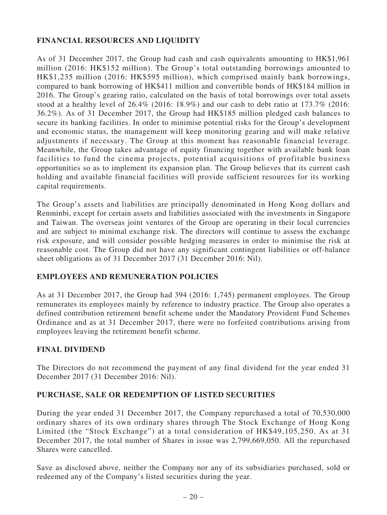# **FINANCIAL RESOURCES AND LIQUIDITY**

As of 31 December 2017, the Group had cash and cash equivalents amounting to HK\$1,961 million (2016: HK\$152 million). The Group's total outstanding borrowings amounted to HK\$1,235 million (2016: HK\$595 million), which comprised mainly bank borrowings, compared to bank borrowing of HK\$411 million and convertible bonds of HK\$184 million in 2016. The Group's gearing ratio, calculated on the basis of total borrowings over total assets stood at a healthy level of 26.4% (2016: 18.9%) and our cash to debt ratio at 173.7% (2016: 36.2%). As of 31 December 2017, the Group had HK\$185 million pledged cash balances to secure its banking facilities. In order to minimise potential risks for the Group's development and economic status, the management will keep monitoring gearing and will make relative adjustments if necessary. The Group at this moment has reasonable financial leverage. Meanwhile, the Group takes advantage of equity financing together with available bank loan facilities to fund the cinema projects, potential acquisitions of profitable business opportunities so as to implement its expansion plan. The Group believes that its current cash holding and available financial facilities will provide sufficient resources for its working capital requirements.

The Group's assets and liabilities are principally denominated in Hong Kong dollars and Renminbi, except for certain assets and liabilities associated with the investments in Singapore and Taiwan. The overseas joint ventures of the Group are operating in their local currencies and are subject to minimal exchange risk. The directors will continue to assess the exchange risk exposure, and will consider possible hedging measures in order to minimise the risk at reasonable cost. The Group did not have any significant contingent liabilities or off-balance sheet obligations as of 31 December 2017 (31 December 2016: Nil).

# **EMPLOYEES AND REMUNERATION POLICIES**

As at 31 December 2017, the Group had 394 (2016: 1,745) permanent employees. The Group remunerates its employees mainly by reference to industry practice. The Group also operates a defined contribution retirement benefit scheme under the Mandatory Provident Fund Schemes Ordinance and as at 31 December 2017, there were no forfeited contributions arising from employees leaving the retirement benefit scheme.

# **FINAL DIVIDEND**

The Directors do not recommend the payment of any final dividend for the year ended 31 December 2017 (31 December 2016: Nil).

# **PURCHASE, SALE OR REDEMPTION OF LISTED SECURITIES**

During the year ended 31 December 2017, the Company repurchased a total of 70,530,000 ordinary shares of its own ordinary shares through The Stock Exchange of Hong Kong Limited (the "Stock Exchange") at a total consideration of HK\$49,105,250. As at 31 December 2017, the total number of Shares in issue was 2,799,669,050. All the repurchased Shares were cancelled.

Save as disclosed above, neither the Company nor any of its subsidiaries purchased, sold or redeemed any of the Company's listed securities during the year.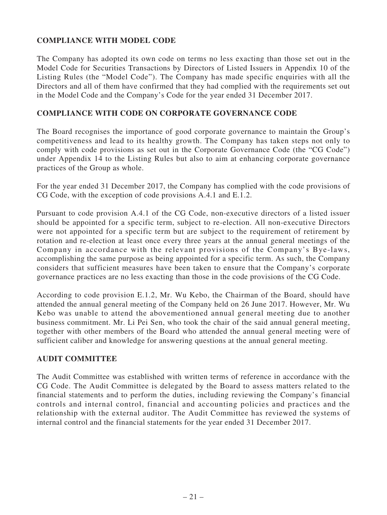# **COMPLIANCE WITH MODEL CODE**

The Company has adopted its own code on terms no less exacting than those set out in the Model Code for Securities Transactions by Directors of Listed Issuers in Appendix 10 of the Listing Rules (the "Model Code"). The Company has made specific enquiries with all the Directors and all of them have confirmed that they had complied with the requirements set out in the Model Code and the Company's Code for the year ended 31 December 2017.

## **COMPLIANCE WITH CODE ON CORPORATE GOVERNANCE CODE**

The Board recognises the importance of good corporate governance to maintain the Group's competitiveness and lead to its healthy growth. The Company has taken steps not only to comply with code provisions as set out in the Corporate Governance Code (the "CG Code") under Appendix 14 to the Listing Rules but also to aim at enhancing corporate governance practices of the Group as whole.

For the year ended 31 December 2017, the Company has complied with the code provisions of CG Code, with the exception of code provisions A.4.1 and E.1.2.

Pursuant to code provision A.4.1 of the CG Code, non-executive directors of a listed issuer should be appointed for a specific term, subject to re-election. All non-executive Directors were not appointed for a specific term but are subject to the requirement of retirement by rotation and re-election at least once every three years at the annual general meetings of the Company in accordance with the relevant provisions of the Company's Bye-laws, accomplishing the same purpose as being appointed for a specific term. As such, the Company considers that sufficient measures have been taken to ensure that the Company's corporate governance practices are no less exacting than those in the code provisions of the CG Code.

According to code provision E.1.2, Mr. Wu Kebo, the Chairman of the Board, should have attended the annual general meeting of the Company held on 26 June 2017. However, Mr. Wu Kebo was unable to attend the abovementioned annual general meeting due to another business commitment. Mr. Li Pei Sen, who took the chair of the said annual general meeting, together with other members of the Board who attended the annual general meeting were of sufficient caliber and knowledge for answering questions at the annual general meeting.

### **AUDIT COMMITTEE**

The Audit Committee was established with written terms of reference in accordance with the CG Code. The Audit Committee is delegated by the Board to assess matters related to the financial statements and to perform the duties, including reviewing the Company's financial controls and internal control, financial and accounting policies and practices and the relationship with the external auditor. The Audit Committee has reviewed the systems of internal control and the financial statements for the year ended 31 December 2017.